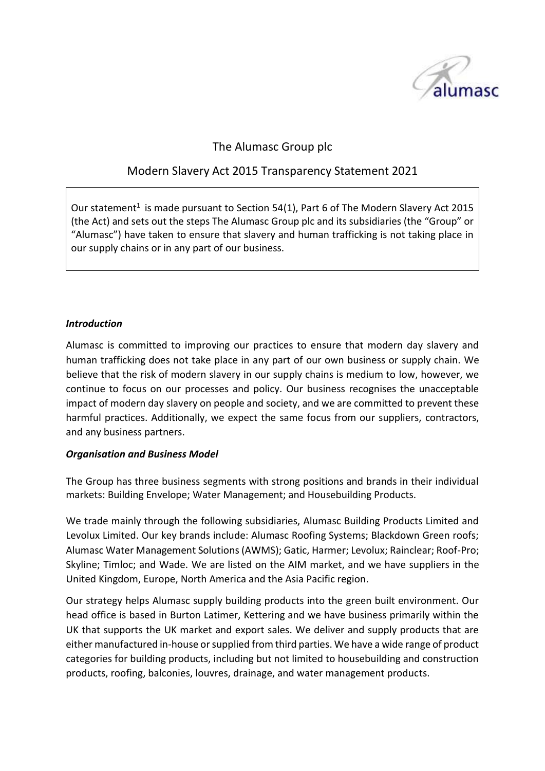

# The Alumasc Group plc

# Modern Slavery Act 2015 Transparency Statement 2021

Our statement<sup>1</sup> is made pursuant to Section 54(1), Part 6 of The Modern Slavery Act 2015 (the Act) and sets out the steps The Alumasc Group plc and its subsidiaries (the "Group" or "Alumasc") have taken to ensure that slavery and human trafficking is not taking place in our supply chains or in any part of our business.

#### *Introduction*

Alumasc is committed to improving our practices to ensure that modern day slavery and human trafficking does not take place in any part of our own business or supply chain. We believe that the risk of modern slavery in our supply chains is medium to low, however, we continue to focus on our processes and policy. Our business recognises the unacceptable impact of modern day slavery on people and society, and we are committed to prevent these harmful practices. Additionally, we expect the same focus from our suppliers, contractors, and any business partners.

#### *Organisation and Business Model*

The Group has three business segments with strong positions and brands in their individual markets: Building Envelope; Water Management; and Housebuilding Products.

We trade mainly through the following subsidiaries, Alumasc Building Products Limited and Levolux Limited. Our key brands include: Alumasc Roofing Systems; Blackdown Green roofs; Alumasc Water Management Solutions (AWMS); Gatic, Harmer; Levolux; Rainclear; Roof-Pro; Skyline; Timloc; and Wade. We are listed on the AIM market, and we have suppliers in the United Kingdom, Europe, North America and the Asia Pacific region.

Our strategy helps Alumasc supply building products into the green built environment. Our head office is based in Burton Latimer, Kettering and we have business primarily within the UK that supports the UK market and export sales. We deliver and supply products that are either manufactured in-house or supplied from third parties. We have a wide range of product categories for building products, including but not limited to housebuilding and construction products, roofing, balconies, louvres, drainage, and water management products.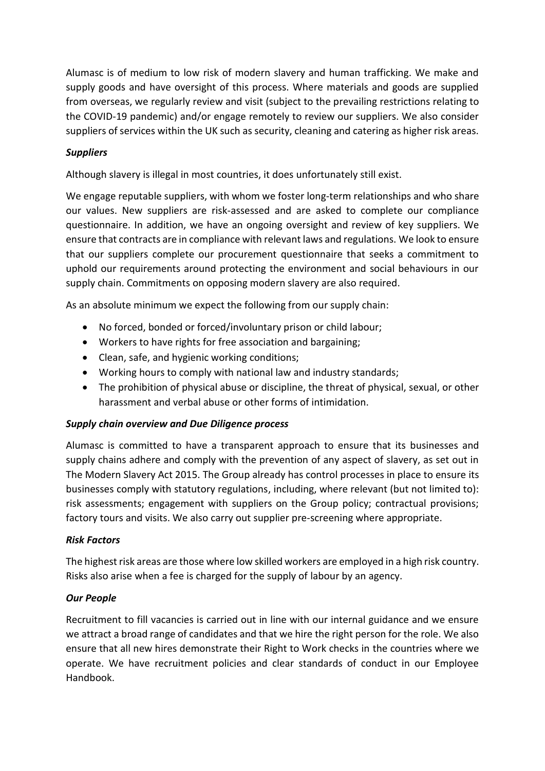Alumasc is of medium to low risk of modern slavery and human trafficking. We make and supply goods and have oversight of this process. Where materials and goods are supplied from overseas, we regularly review and visit (subject to the prevailing restrictions relating to the COVID-19 pandemic) and/or engage remotely to review our suppliers. We also consider suppliers of services within the UK such as security, cleaning and catering as higher risk areas.

## *Suppliers*

Although slavery is illegal in most countries, it does unfortunately still exist.

We engage reputable suppliers, with whom we foster long-term relationships and who share our values. New suppliers are risk-assessed and are asked to complete our compliance questionnaire. In addition, we have an ongoing oversight and review of key suppliers. We ensure that contracts are in compliance with relevant laws and regulations. We look to ensure that our suppliers complete our procurement questionnaire that seeks a commitment to uphold our requirements around protecting the environment and social behaviours in our supply chain. Commitments on opposing modern slavery are also required.

As an absolute minimum we expect the following from our supply chain:

- No forced, bonded or forced/involuntary prison or child labour;
- Workers to have rights for free association and bargaining;
- Clean, safe, and hygienic working conditions;
- Working hours to comply with national law and industry standards;
- The prohibition of physical abuse or discipline, the threat of physical, sexual, or other harassment and verbal abuse or other forms of intimidation.

### *Supply chain overview and Due Diligence process*

Alumasc is committed to have a transparent approach to ensure that its businesses and supply chains adhere and comply with the prevention of any aspect of slavery, as set out in The Modern Slavery Act 2015. The Group already has control processes in place to ensure its businesses comply with statutory regulations, including, where relevant (but not limited to): risk assessments; engagement with suppliers on the Group policy; contractual provisions; factory tours and visits. We also carry out supplier pre-screening where appropriate.

### *Risk Factors*

The highest risk areas are those where low skilled workers are employed in a high risk country. Risks also arise when a fee is charged for the supply of labour by an agency.

### *Our People*

Recruitment to fill vacancies is carried out in line with our internal guidance and we ensure we attract a broad range of candidates and that we hire the right person for the role. We also ensure that all new hires demonstrate their Right to Work checks in the countries where we operate. We have recruitment policies and clear standards of conduct in our Employee Handbook.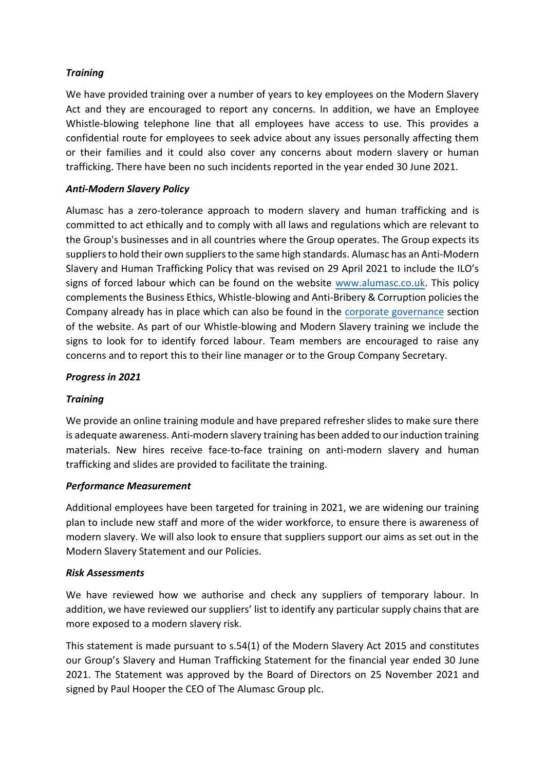## *Training*

We have provided training over a number of years to key employees on the Modern Slavery Act and they are encouraged to report any concerns. In addition, we have an Employee Whistle-blowing telephone line that all employees have access to use. This provides a confidential route for employees to seek advice about any issues personally affecting them or their families and it could also cover any concerns about modern slavery or human trafficking. There have been no such incidents reported in the year ended 30 June 2021.

### *Anti-Modern Slavery Policy*

Alumasc has a zero-tolerance approach to modern slavery and human trafficking and is committed to act ethically and to comply with all laws and regulations which are relevant to the Group's businesses and in all countries where the Group operates. The Group expects its suppliers to hold their own suppliers to the same high standards. Alumasc has an Anti-Modern Slavery and Human Trafficking Policy that was revised on 29 April 2021 to include the ILO's signs of forced labour which can be found on the website [www.alumasc.co.uk.](http://www.alumasc.co.uk/investors/corporate-governance/) This policy complements the Business Ethics, Whistle-blowing and Anti-Bribery & Corruption policies the Company already has in place which can also be found in the [corporate governance](http://www.alumasc.co.uk/investors/corporate-governance/) section of the website. As part of our Whistle-blowing and Modern Slavery training we include the signs to look for to identify forced labour. Team members are encouraged to raise any concerns and to report this to their line manager or to the Group Company Secretary.

#### *Progress in 2021*

### *Training*

We provide an online training module and have prepared refresher slides to make sure there is adequate awareness. Anti-modern slavery training has been added to our induction training materials. New hires receive face-to-face training on anti-modern slavery and human trafficking and slides are provided to facilitate the training.

#### *Performance Measurement*

Additional employees have been targeted for training in 2021, we are widening our training plan to include new staff and more of the wider workforce, to ensure there is awareness of modern slavery. We will also look to ensure that suppliers support our aims as set out in the Modern Slavery Statement and our Policies.

#### *Risk Assessments*

We have reviewed how we authorise and check any suppliers of temporary labour. In addition, we have reviewed our suppliers' list to identify any particular supply chains that are more exposed to a modern slavery risk.

This statement is made pursuant to s.54(1) of the Modern Slavery Act 2015 and constitutes our Group's Slavery and Human Trafficking Statement for the financial year ended 30 June 2021. The Statement was approved by the Board of Directors on 25 November 2021 and signed by Paul Hooper the CEO of The Alumasc Group plc.